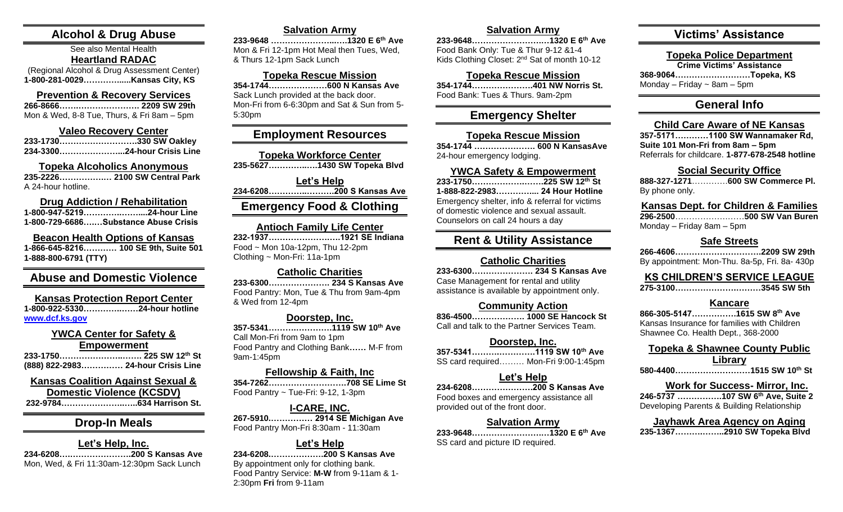# **Alcohol & Drug Abuse**

#### See also Mental Health **Heartland RADAC** (Regional Alcohol & Drug Assessment Center)

**1-800-281-0029…………......Kansas City, KS**

#### **Prevention & Recovery Services 266-8666…….…………………. 2209 SW 29th** Mon & Wed, 8-8 Tue, Thurs, & Fri 8am – 5pm

#### **Valeo Recovery Center**

**233-1730……………………….330 SW Oakley 234-3300…………………...24-hour Crisis Line**

#### **Topeka Alcoholics Anonymous 235-2226…………….… 2100 SW Central Park**

A 24-hour hotline.

#### **Drug Addiction / Rehabilitation 1-800-947-5219…………..……....24-hour Line 1-800-729-6686….…Substance Abuse Crisis**

**Beacon Health Options of Kansas 1-866-645-8216………… 100 SE 9th, Suite 501 1-888-800-6791 (TTY)**

# **Abuse and Domestic Violence**

**Kansas Protection Report Center 1-800-922-5330…………..……24-hour hotline [www.dcf.ks.gov](http://www.dcf.ks.gov/)**

#### **YWCA Center for Safety &**

**Empowerment 233-1750…………………..……. 225 SW 12th St (888) 822-2983…………… 24-hour Crisis Line**

# **Kansas Coalition Against Sexual &**

**Domestic Violence (KCSDV) 232-9784…………………..…..634 Harrison St.**

# **Drop-In Meals**

#### **Let's Help, Inc. 234-6208….………………….200 S Kansas Ave** Mon, Wed, & Fri 11:30am-12:30pm Sack Lunch

# **Salvation Army**

**233-9648 …………………...….1320 E 6th Ave** Mon & Fri 12-1pm Hot Meal then Tues, Wed, & Thurs 12-1pm Sack Lunch

#### **Topeka Rescue Mission**

**354-1744…………………600 N Kansas Ave** Sack Lunch provided at the back door. Mon-Fri from 6-6:30pm and Sat & Sun from 5- 5:30pm

# **Employment Resources**

**Topeka Workforce Center 235-5627…………..….1430 SW Topeka Blvd**

**Let's Help 234-6208…………..……….200 S Kansas Ave Emergency Food & Clothing**

#### **Antioch Family Life Center**

**232-1937………………….….1921 SE Indiana** Food ~ Mon 10a-12pm, Thu 12-2pm Clothing ~ Mon-Fri: 11a-1pm

#### **Catholic Charities**

**233-6300…………………. 234 S Kansas Ave** Food Pantry: Mon, Tue & Thu from 9am-4pm & Wed from 12-4pm

### **Doorstep, Inc.**

**357-5341……….………….1119 SW 10th Ave** Call Mon-Fri from 9am to 1pm Food Pantry and Clothing Bank**……** M-F from 9am-1:45pm

### **Fellowship & Faith, Inc**

**354-7262……………………….708 SE Lime St** Food Pantry ~ Tue-Fri: 9-12, 1-3pm

# **I-CARE, INC.**

**267-5910.…………… 2914 SE Michigan Ave** Food Pantry Mon-Fri 8:30am - 11:30am

#### **Let's Help**

**234-6208.……………….200 S Kansas Ave** By appointment only for clothing bank. Food Pantry Service: **M-W** from 9-11am & 1- 2:30pm **Fri** from 9-11am

### **Salvation Army**

**233-9648…………………….…1320 E 6th Ave** Food Bank Only: Tue & Thur 9-12 &1-4 Kids Clothing Closet: 2nd Sat of month 10-12

# **Topeka Rescue Mission**

**354-1744………………….401 NW Norris St.** Food Bank: Tues & Thurs. 9am-2pm

# **Emergency Shelter**

### **Topeka Rescue Mission**

**354-1744 …………………. 600 N KansasAve** 24-hour emergency lodging.

#### **YWCA Safety & Empowerment**

**233-1750……………….…….225 SW 12th St 1-888-822-2983………….... 24 Hour Hotline** Emergency shelter, info & referral for victims of domestic violence and sexual assault. Counselors on call 24 hours a day

# **Rent & Utility Assistance**

#### **Catholic Charities**

**233-6300…………………. 234 S Kansas Ave** Case Management for rental and utility assistance is available by appointment only.

### **Community Action**

**836-4500………………. 1000 SE Hancock St**  Call and talk to the Partner Services Team.

#### **Doorstep, Inc.**

**357-5341……….………….1119 SW 10th Ave** SS card required……… Mon-Fri 9:00-1:45pm

### **Let's Help**

**234-6208………………….200 S Kansas Ave** Food boxes and emergency assistance all provided out of the front door.

#### **Salvation Army**

**233-9648…………………….…1320 E 6th Ave** SS card and picture ID required.

# **Victims' Assistance**

**Topeka Police Department**

**Crime Victims' Assistance 368-9064………………………Topeka, KS**

Monday – Friday  $\sim$  8am – 5pm

# **General Info**

# **Child Care Aware of NE Kansas**

**357-5171…………1100 SW Wannamaker Rd, Suite 101 Mon-Fri from 8am – 5pm** Referrals for childcare. **1-877-678-2548 hotline**

#### **Social Security Office**

**888-327-1271**………….**600 SW Commerce Pl.** By phone only.

### **Kansas Dept. for Children & Families**

**296-2500**……………….……**500 SW Van Buren** Monday – Friday 8am – 5pm

### **Safe Streets**

**266-4606………………………….2209 SW 29th** By appointment: Mon-Thu. 8a-5p, Fri. 8a- 430p

# **KS CHILDREN'S SERVICE LEAGUE**

| 275-31003545 SW 5th |  |
|---------------------|--|
|                     |  |

### **Kancare**

**866-305-5147…………….1615 SW 8th Ave** Kansas Insurance for families with Children Shawnee Co. Health Dept., 368-2000

# **Topeka & Shawnee County Public Library**

# **Work for Success- Mirror, Inc.**

**246-5737 …………….107 SW 6th Ave, Suite 2** Developing Parents & Building Relationship

#### **Jayhawk Area Agency on Aging 235-1367……….……..2910 SW Topeka Blvd**

**580-4400………………………1515 SW 10th St**